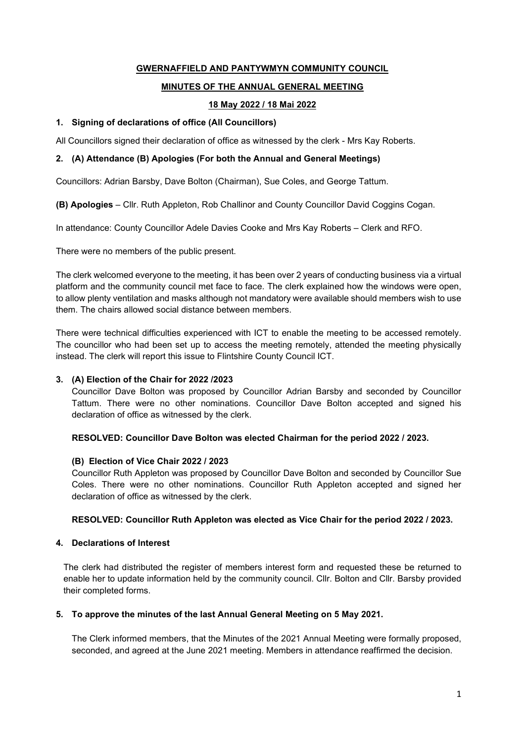# GWERNAFFIELD AND PANTYWMYN COMMUNITY COUNCIL

# MINUTES OF THE ANNUAL GENERAL MEETING

# 18 May 2022 / 18 Mai 2022

### 1. Signing of declarations of office (All Councillors)

All Councillors signed their declaration of office as witnessed by the clerk - Mrs Kay Roberts.

## 2. (A) Attendance (B) Apologies (For both the Annual and General Meetings)

Councillors: Adrian Barsby, Dave Bolton (Chairman), Sue Coles, and George Tattum.

(B) Apologies – Cllr. Ruth Appleton, Rob Challinor and County Councillor David Coggins Cogan.

In attendance: County Councillor Adele Davies Cooke and Mrs Kay Roberts – Clerk and RFO.

There were no members of the public present.

The clerk welcomed everyone to the meeting, it has been over 2 years of conducting business via a virtual platform and the community council met face to face. The clerk explained how the windows were open, to allow plenty ventilation and masks although not mandatory were available should members wish to use them. The chairs allowed social distance between members.

There were technical difficulties experienced with ICT to enable the meeting to be accessed remotely. The councillor who had been set up to access the meeting remotely, attended the meeting physically instead. The clerk will report this issue to Flintshire County Council ICT.

### 3. (A) Election of the Chair for 2022 /2023

Councillor Dave Bolton was proposed by Councillor Adrian Barsby and seconded by Councillor Tattum. There were no other nominations. Councillor Dave Bolton accepted and signed his declaration of office as witnessed by the clerk.

### RESOLVED: Councillor Dave Bolton was elected Chairman for the period 2022 / 2023.

### (B) Election of Vice Chair 2022 / 2023

Councillor Ruth Appleton was proposed by Councillor Dave Bolton and seconded by Councillor Sue Coles. There were no other nominations. Councillor Ruth Appleton accepted and signed her declaration of office as witnessed by the clerk.

### RESOLVED: Councillor Ruth Appleton was elected as Vice Chair for the period 2022 / 2023.

### 4. Declarations of Interest

The clerk had distributed the register of members interest form and requested these be returned to enable her to update information held by the community council. Cllr. Bolton and Cllr. Barsby provided their completed forms.

### 5. To approve the minutes of the last Annual General Meeting on 5 May 2021.

The Clerk informed members, that the Minutes of the 2021 Annual Meeting were formally proposed, seconded, and agreed at the June 2021 meeting. Members in attendance reaffirmed the decision.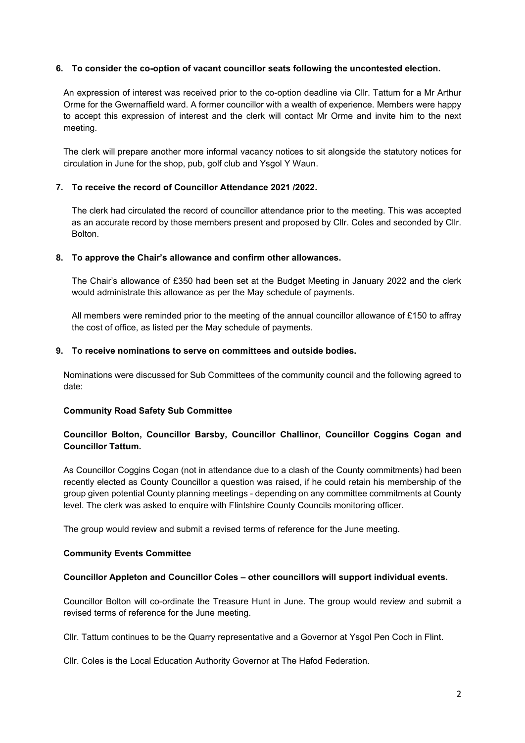### 6. To consider the co-option of vacant councillor seats following the uncontested election.

An expression of interest was received prior to the co-option deadline via Cllr. Tattum for a Mr Arthur Orme for the Gwernaffield ward. A former councillor with a wealth of experience. Members were happy to accept this expression of interest and the clerk will contact Mr Orme and invite him to the next meeting.

The clerk will prepare another more informal vacancy notices to sit alongside the statutory notices for circulation in June for the shop, pub, golf club and Ysgol Y Waun.

### 7. To receive the record of Councillor Attendance 2021 /2022.

The clerk had circulated the record of councillor attendance prior to the meeting. This was accepted as an accurate record by those members present and proposed by Cllr. Coles and seconded by Cllr. Bolton.

### 8. To approve the Chair's allowance and confirm other allowances.

The Chair's allowance of £350 had been set at the Budget Meeting in January 2022 and the clerk would administrate this allowance as per the May schedule of payments.

All members were reminded prior to the meeting of the annual councillor allowance of £150 to affray the cost of office, as listed per the May schedule of payments.

# 9. To receive nominations to serve on committees and outside bodies.

Nominations were discussed for Sub Committees of the community council and the following agreed to date:

### Community Road Safety Sub Committee

# Councillor Bolton, Councillor Barsby, Councillor Challinor, Councillor Coggins Cogan and Councillor Tattum.

As Councillor Coggins Cogan (not in attendance due to a clash of the County commitments) had been recently elected as County Councillor a question was raised, if he could retain his membership of the group given potential County planning meetings - depending on any committee commitments at County level. The clerk was asked to enquire with Flintshire County Councils monitoring officer.

The group would review and submit a revised terms of reference for the June meeting.

### Community Events Committee

### Councillor Appleton and Councillor Coles – other councillors will support individual events.

Councillor Bolton will co-ordinate the Treasure Hunt in June. The group would review and submit a revised terms of reference for the June meeting.

Cllr. Tattum continues to be the Quarry representative and a Governor at Ysgol Pen Coch in Flint.

Cllr. Coles is the Local Education Authority Governor at The Hafod Federation.